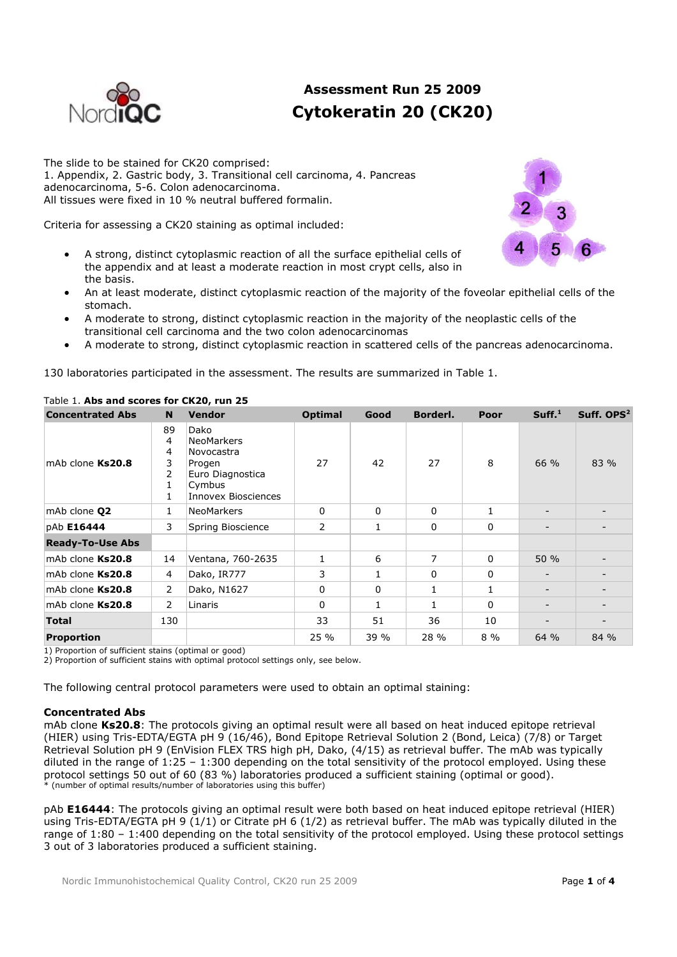

# **Assessment Run 25 2009 Cytokeratin 20 (CK20)**

The slide to be stained for CK20 comprised: 1. Appendix, 2. Gastric body, 3. Transitional cell carcinoma, 4. Pancreas adenocarcinoma, 5-6. Colon adenocarcinoma. All tissues were fixed in 10 % neutral buffered formalin.

Criteria for assessing a CK20 staining as optimal included:

- A strong, distinct cytoplasmic reaction of all the surface epithelial cells of the appendix and at least a moderate reaction in most crypt cells, also in the basis.
- An at least moderate, distinct cytoplasmic reaction of the majority of the foveolar epithelial cells of the stomach.
- A moderate to strong, distinct cytoplasmic reaction in the majority of the neoplastic cells of the transitional cell carcinoma and the two colon adenocarcinomas
- A moderate to strong, distinct cytoplasmic reaction in scattered cells of the pancreas adenocarcinoma.

130 laboratories participated in the assessment. The results are summarized in Table 1.

| <b>Concentrated Abs</b> | N                                                   | <b>Vendor</b>                                                                                                 | <b>Optimal</b> | Good         | Borderl.    | Poor         | Suff. <sup>1</sup> | Suff. OPS <sup>2</sup> |
|-------------------------|-----------------------------------------------------|---------------------------------------------------------------------------------------------------------------|----------------|--------------|-------------|--------------|--------------------|------------------------|
| mAb clone Ks20.8        | 89<br>4<br>4<br>3<br>$\overline{2}$<br>$\mathbf{1}$ | Dako<br><b>NeoMarkers</b><br>Novocastra<br>Progen<br>Euro Diagnostica<br>Cymbus<br><b>Innovex Biosciences</b> | 27             | 42           | 27          | 8            | 66 %               | 83 %                   |
| mAb clone <b>Q2</b>     | $\mathbf{1}$                                        | <b>NeoMarkers</b>                                                                                             | 0              | 0            | $\mathbf 0$ | 1            |                    |                        |
| pAb E16444              | 3                                                   | Spring Bioscience                                                                                             | 2              | 1            | 0           | 0            |                    |                        |
| <b>Ready-To-Use Abs</b> |                                                     |                                                                                                               |                |              |             |              |                    |                        |
| mAb clone Ks20.8        | 14                                                  | Ventana, 760-2635                                                                                             | 1              | 6            | 7           | 0            | 50%                |                        |
| mAb clone Ks20.8        | $\overline{4}$                                      | Dako, IR777                                                                                                   | 3              | 1            | $\Omega$    | $\mathbf{0}$ |                    |                        |
| mAb clone Ks20.8        | $\overline{2}$                                      | Dako, N1627                                                                                                   | 0              | 0            | 1           | 1            |                    |                        |
| mAb clone Ks20.8        | $\overline{2}$                                      | Linaris                                                                                                       | 0              | $\mathbf{1}$ | 1           | 0            |                    |                        |
| <b>Total</b>            | 130                                                 |                                                                                                               | 33             | 51           | 36          | 10           |                    |                        |
| <b>Proportion</b>       |                                                     |                                                                                                               | 25 %           | 39 %         | 28 %        | $8\%$        | 64 %               | 84 %                   |

## Table 1. **Abs and scores for CK20, run 25**

1) Proportion of sufficient stains (optimal or good)

2) Proportion of sufficient stains with optimal protocol settings only, see below.

The following central protocol parameters were used to obtain an optimal staining:

### **Concentrated Abs**

mAb clone **Ks20.8**: The protocols giving an optimal result were all based on heat induced epitope retrieval (HIER) using Tris-EDTA/EGTA pH 9 (16/46), Bond Epitope Retrieval Solution 2 (Bond, Leica) (7/8) or Target Retrieval Solution pH 9 (EnVision FLEX TRS high pH, Dako, (4/15) as retrieval buffer. The mAb was typically diluted in the range of  $1:25 - 1:300$  depending on the total sensitivity of the protocol employed. Using these protocol settings 50 out of 60 (83 %) laboratories produced a sufficient staining (optimal or good). \* (number of optimal results/number of laboratories using this buffer)

pAb **E16444**: The protocols giving an optimal result were both based on heat induced epitope retrieval (HIER) using Tris-EDTA/EGTA pH 9 (1/1) or Citrate pH 6 (1/2) as retrieval buffer. The mAb was typically diluted in the range of 1:80 – 1:400 depending on the total sensitivity of the protocol employed. Using these protocol settings 3 out of 3 laboratories produced a sufficient staining.

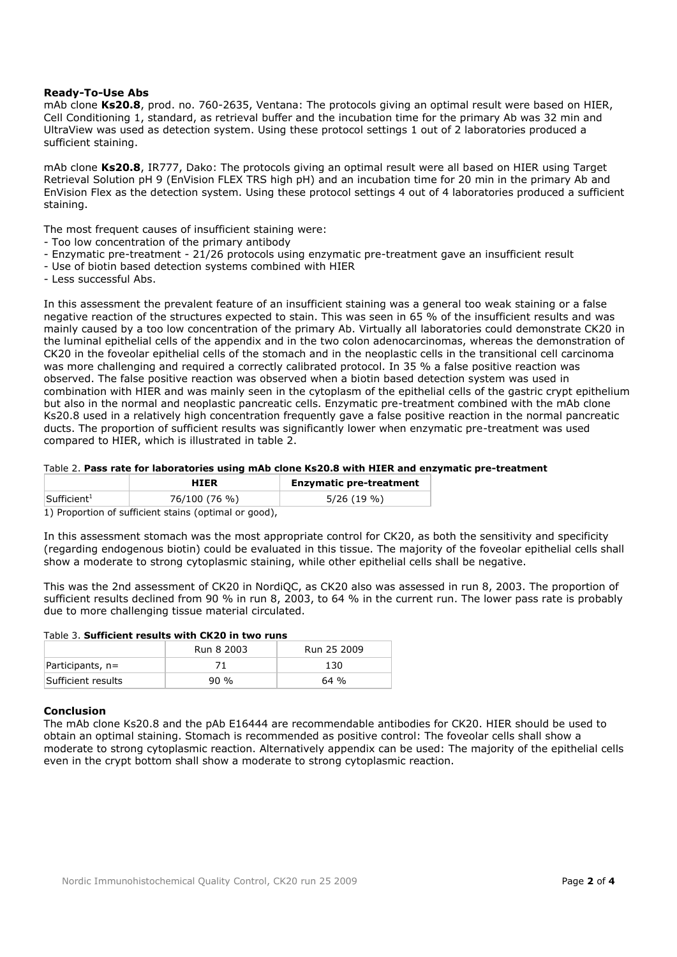## **Ready-To-Use Abs**

mAb clone **Ks20.8**, prod. no. 760-2635, Ventana: The protocols giving an optimal result were based on HIER, Cell Conditioning 1, standard, as retrieval buffer and the incubation time for the primary Ab was 32 min and UltraView was used as detection system. Using these protocol settings 1 out of 2 laboratories produced a sufficient staining.

mAb clone **Ks20.8**, IR777, Dako: The protocols giving an optimal result were all based on HIER using Target Retrieval Solution pH 9 (EnVision FLEX TRS high pH) and an incubation time for 20 min in the primary Ab and EnVision Flex as the detection system. Using these protocol settings 4 out of 4 laboratories produced a sufficient staining.

The most frequent causes of insufficient staining were:

- Too low concentration of the primary antibody
- Enzymatic pre-treatment 21/26 protocols using enzymatic pre-treatment gave an insufficient result
- Use of biotin based detection systems combined with HIER
- Less successful Abs.

In this assessment the prevalent feature of an insufficient staining was a general too weak staining or a false negative reaction of the structures expected to stain. This was seen in 65 % of the insufficient results and was mainly caused by a too low concentration of the primary Ab. Virtually all laboratories could demonstrate CK20 in the luminal epithelial cells of the appendix and in the two colon adenocarcinomas, whereas the demonstration of CK20 in the foveolar epithelial cells of the stomach and in the neoplastic cells in the transitional cell carcinoma was more challenging and required a correctly calibrated protocol. In 35 % a false positive reaction was observed. The false positive reaction was observed when a biotin based detection system was used in combination with HIER and was mainly seen in the cytoplasm of the epithelial cells of the gastric crypt epithelium but also in the normal and neoplastic pancreatic cells. Enzymatic pre-treatment combined with the mAb clone Ks20.8 used in a relatively high concentration frequently gave a false positive reaction in the normal pancreatic ducts. The proportion of sufficient results was significantly lower when enzymatic pre-treatment was used compared to HIER, which is illustrated in table 2.

### Table 2. **Pass rate for laboratories using mAb clone Ks20.8 with HIER and enzymatic pre-treatment**

|                                                       | <b>HIER</b>   | <b>Enzymatic pre-treatment</b> |  |  |  |  |  |  |
|-------------------------------------------------------|---------------|--------------------------------|--|--|--|--|--|--|
| $\mathsf{Sufficient}^1$                               | 76/100 (76 %) | $5/26(19\%)$                   |  |  |  |  |  |  |
| 1) Proportion of sufficient stains (optimal or good), |               |                                |  |  |  |  |  |  |

In this assessment stomach was the most appropriate control for CK20, as both the sensitivity and specificity (regarding endogenous biotin) could be evaluated in this tissue. The majority of the foveolar epithelial cells shall show a moderate to strong cytoplasmic staining, while other epithelial cells shall be negative.

This was the 2nd assessment of CK20 in NordiQC, as CK20 also was assessed in run 8, 2003. The proportion of sufficient results declined from 90 % in run 8, 2003, to 64 % in the current run. The lower pass rate is probably due to more challenging tissue material circulated.

## Table 3. **Sufficient results with CK20 in two runs**

|                    | Run 8 2003 | Run 25 2009 |
|--------------------|------------|-------------|
| $Participants, n=$ |            | 130         |
| Sufficient results | 90 %       | 64 %        |

### **Conclusion**

The mAb clone Ks20.8 and the pAb E16444 are recommendable antibodies for CK20. HIER should be used to obtain an optimal staining. Stomach is recommended as positive control: The foveolar cells shall show a moderate to strong cytoplasmic reaction. Alternatively appendix can be used: The majority of the epithelial cells even in the crypt bottom shall show a moderate to strong cytoplasmic reaction.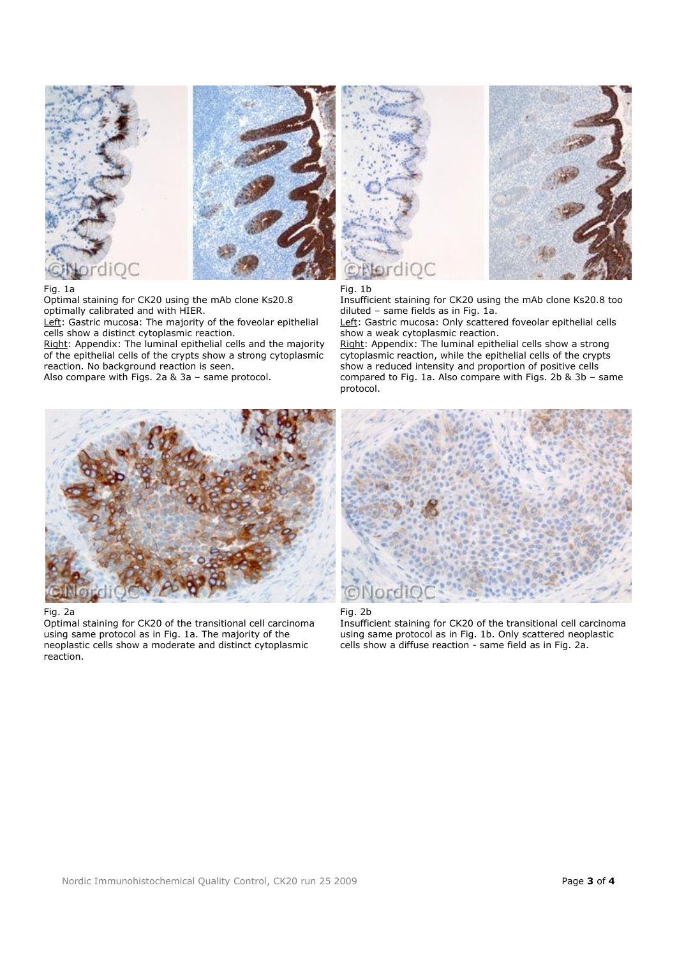



#### Fig. 1a

Optimal staining for CK20 using the mAb clone Ks20.8 optimally calibrated and with HIER.

Left: Gastric mucosa: The majority of the foveolar epithelial cells show a distinct cytoplasmic reaction.

Right: Appendix: The luminal epithelial cells and the majority of the epithelial cells of the crypts show a strong cytoplasmic reaction. No background reaction is seen.

Also compare with Figs. 2a & 3a – same protocol.



Fig. 1b

Insufficient staining for CK20 using the mAb clone Ks20.8 too diluted – same fields as in Fig. 1a.

Left: Gastric mucosa: Only scattered foveolar epithelial cells show a weak cytoplasmic reaction.

Right: Appendix: The luminal epithelial cells show a strong cytoplasmic reaction, while the epithelial cells of the crypts show a reduced intensity and proportion of positive cells compared to Fig. 1a. Also compare with Figs. 2b & 3b – same protocol.



#### Fig. 2a

Optimal staining for CK20 of the transitional cell carcinoma using same protocol as in Fig. 1a. The majority of the neoplastic cells show a moderate and distinct cytoplasmic reaction.



#### Fig. 2b

Insufficient staining for CK20 of the transitional cell carcinoma using same protocol as in Fig. 1b. Only scattered neoplastic cells show a diffuse reaction - same field as in Fig. 2a.